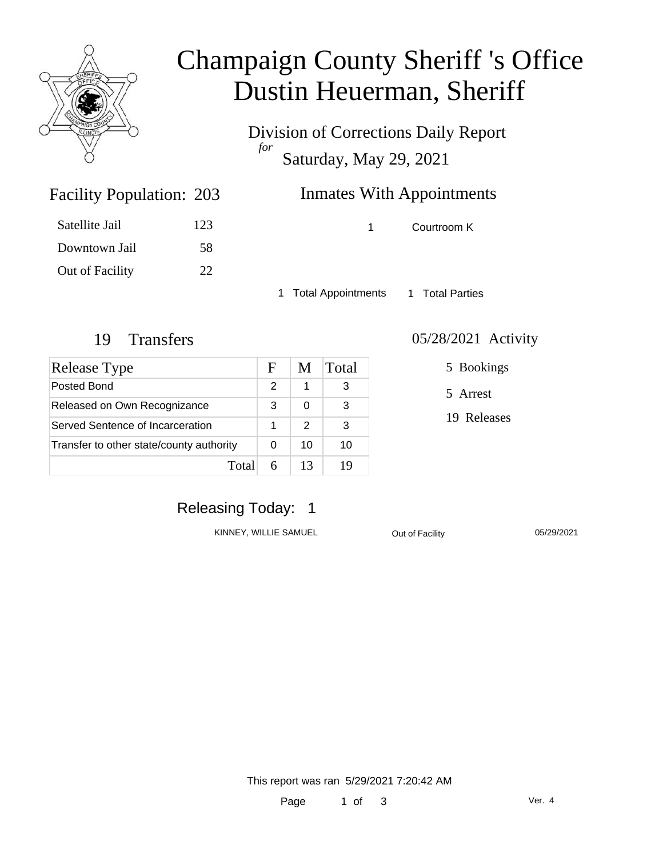

## Champaign County Sheriff 's Office Dustin Heuerman, Sheriff

Division of Corrections Daily Report *for* Saturday, May 29, 2021

### Inmates With Appointments

| Satellite Jail  | 123 |
|-----------------|-----|
| Downtown Jail   | 58  |
| Out of Facility | 22  |

Facility Population: 203

1 Courtroom K

1 Total Appointments 1 Total Parties

| Release Type                             | F | M  | Total |
|------------------------------------------|---|----|-------|
| Posted Bond                              | 2 | 1  | 3     |
| Released on Own Recognizance             | 3 | 0  | 3     |
| Served Sentence of Incarceration         |   | 2  | 3     |
| Transfer to other state/county authority |   | 10 | 10    |
| Total                                    |   | 13 | 1 Y   |

#### 19 Transfers 05/28/2021 Activity

5 Bookings

5 Arrest

19 Releases

### Releasing Today: 1

KINNEY, WILLIE SAMUEL **Out of Facility** 05/29/2021

This report was ran 5/29/2021 7:20:42 AM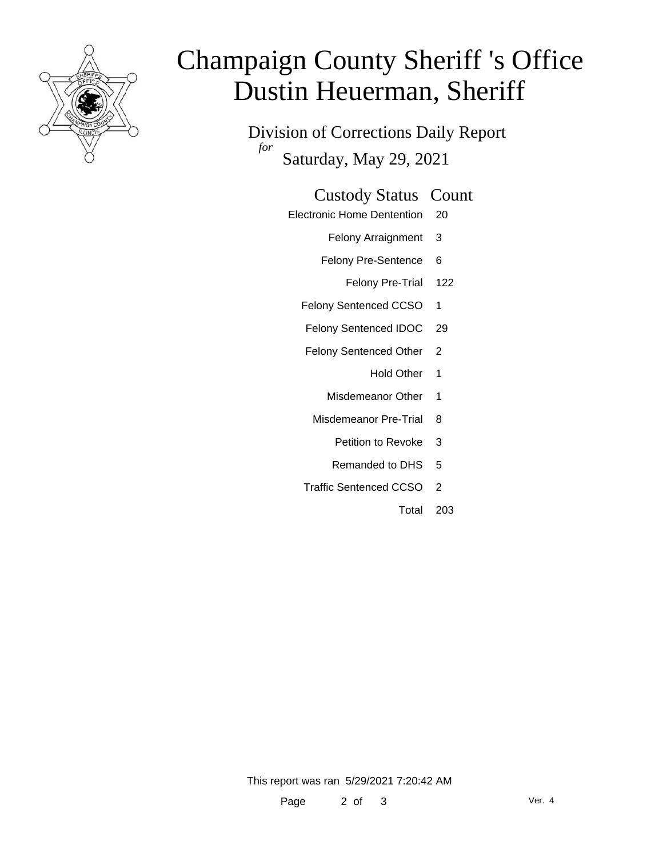

# Champaign County Sheriff 's Office Dustin Heuerman, Sheriff

Division of Corrections Daily Report *for* Saturday, May 29, 2021

#### Custody Status Count

- Electronic Home Dentention 20
	- Felony Arraignment 3
	- Felony Pre-Sentence 6
		- Felony Pre-Trial 122
	- Felony Sentenced CCSO 1
	- Felony Sentenced IDOC 29
	- Felony Sentenced Other 2
		- Hold Other 1
		- Misdemeanor Other 1
	- Misdemeanor Pre-Trial 8
		- Petition to Revoke 3
		- Remanded to DHS 5
	- Traffic Sentenced CCSO 2
		- Total 203

This report was ran 5/29/2021 7:20:42 AM